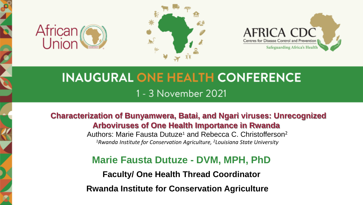





# **INAUGURAL ONE HEALTH CONFERENCE** 1 - 3 November 2021

**Characterization of Bunyamwera, Batai, and Ngari viruses: Unrecognized Arboviruses of One Health Importance in Rwanda**

Authors: Marie Fausta Dutuze<sup>1</sup> and Rebecca C. Christofferson<sup>2</sup> *1Rwanda Institute for Conservation Agriculture, 2Louisiana State University* 

**Marie Fausta Dutuze - DVM, MPH, PhD**

**Faculty/ One Health Thread Coordinator** 

**Rwanda Institute for Conservation Agriculture**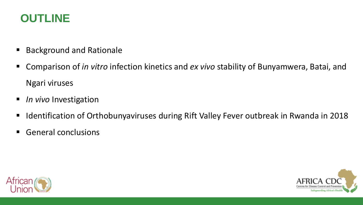# **OUTLINE**

- **Background and Rationale**
- Comparison of *in vitro* infection kinetics and *ex vivo* stability of Bunyamwera, Batai, and Ngari viruses
- *In vivo* Investigation
- **IDENT** Identification of Orthobunyaviruses during Rift Valley Fever outbreak in Rwanda in 2018
- **General conclusions**



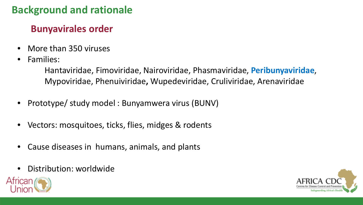# **Background and rationale**

# **Bunyavirales order**

- More than 350 viruses
- Families:

Hantaviridae, Fimoviridae, Nairoviridae, Phasmaviridae, **Peribunyaviridae**, Mypoviridae, Phenuiviridae**,** Wupedeviridae, Cruliviridae, Arenaviridae

- Prototype/ study model : Bunyamwera virus (BUNV)
- Vectors: mosquitoes, ticks, flies, midges & rodents
- Cause diseases in humans, animals, and plants
- Distribution: worldwide



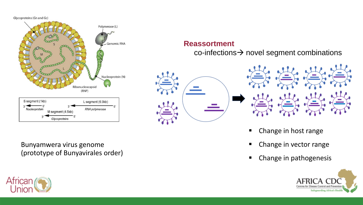Glycoproteins (Gn and Gc)



Bunyamwera virus genome (prototype of Bunyavirales order)



## **Reassortment**

 $co$ -infections $\rightarrow$  novel segment combinations





- **EXEC** Change in host range
- **Change in vector range**
- Change in pathogenesis

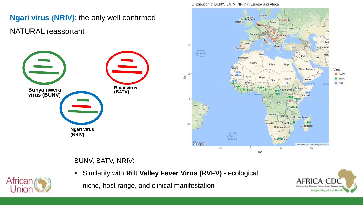

#### Distribution of BUNY, BATV, NRIV in Europe and Africa

## BUNV, BATV, NRIV:

Similarity with **Rift Valley Fever Virus (RVFV)** - ecological

niche, host range, and clinical manifestation



Virus

**BATV** 

**BUNV** 

**O** NRIV

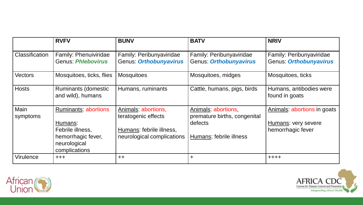|                         | <b>RVFV</b>                                                                                                       | <b>BUNV</b>                                                                                          | <b>BATV</b>                                                                               | <b>NRIV</b>                                                             |
|-------------------------|-------------------------------------------------------------------------------------------------------------------|------------------------------------------------------------------------------------------------------|-------------------------------------------------------------------------------------------|-------------------------------------------------------------------------|
| Classification          | Family: Phenuiviridae<br><b>Genus: Phlebovirus</b>                                                                | Family: Peribunyaviridae<br>Genus: Orthobunyavirus                                                   | Family: Peribunyaviridae<br>Genus: Orthobunyavirus                                        | Family: Peribunyaviridae<br>Genus: Orthobunyavirus                      |
| <b>Vectors</b>          | Mosquitoes, ticks, flies                                                                                          | <b>Mosquitoes</b>                                                                                    | Mosquitoes, midges                                                                        | Mosquitoes, ticks                                                       |
| <b>Hosts</b>            | <b>Ruminants (domestic</b><br>and wild), humans                                                                   | Humans, ruminants                                                                                    | Cattle, humans, pigs, birds                                                               | Humans, antibodies were<br>found in goats                               |
| <b>Main</b><br>symptoms | <b>Ruminants: abortions</b><br>Humans:<br>Febrile illness,<br>hemorrhagic fever,<br>neurological<br>complications | Animals: abortions,<br>teratogenic effects<br>Humans: febrile illness,<br>neurological complications | Animals: abortions,<br>premature births, congenital<br>defects<br>Humans: febrile illness | Animals: abortions in goats<br>Humans: very severe<br>hemorrhagic fever |
| Virulence               | $+ + +$                                                                                                           | $++$                                                                                                 | ┿                                                                                         | $+ + + +$                                                               |



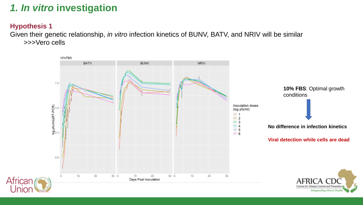# *1. In vitro* **investigation**

## **Hypothesis 1**

Given their genetic relationship, *in vitro* infection kinetics of BUNV, BATV, and NRIV will be similar >>>Vero cells

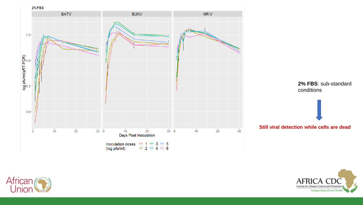



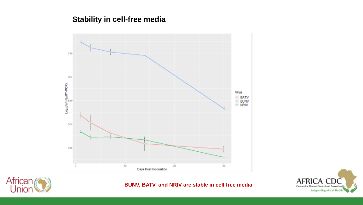## **Stability in cell-free media**





**BUNV, BATV, and NRIV are stable in cell free media**

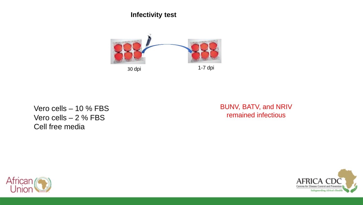**Infectivity test** 



Vero cells – 10 % FBS Vero cells – 2 % FBS Cell free media

BUNV, BATV, and NRIV remained infectious



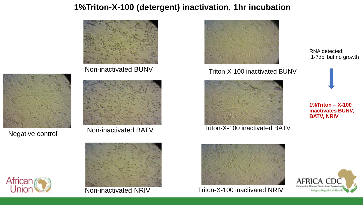# **1%Triton-X-100 (detergent) inactivation, 1hr incubation**



Non-inactivated BUNV



Negative control



Non-inactivated BATV





Non-inactivated NRIV



Triton-X-100 inactivated BUNV



Triton-X-100 inactivated BATV



Triton-X-100 inactivated NRIV

RNA detected: 1-7dpi but no growth



**1%Triton – X-100 inactivates BUNV, BATV, NRIV**

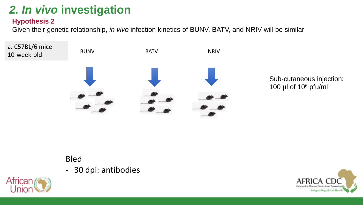# *2. In vivo* **investigation**

## **Hypothesis 2**

Given their genetic relationship, *in vivo* infection kinetics of BUNV, BATV, and NRIV will be similar



Sub-cutaneous injection: 100  $\mu$ l of 10 $\delta$  pfu/ml

# Bled

- 30 dpi: antibodies



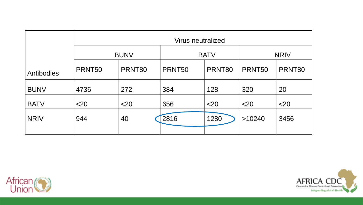|             | Virus neutralized |        |             |        |             |        |  |  |  |
|-------------|-------------------|--------|-------------|--------|-------------|--------|--|--|--|
|             | <b>BUNV</b>       |        | <b>BATV</b> |        | <b>NRIV</b> |        |  |  |  |
| Antibodies  | PRNT50            | PRNT80 | PRNT50      | PRNT80 | PRNT50      | PRNT80 |  |  |  |
| <b>BUNV</b> | 4736              | 272    | 384         | 128    | 320         | 20     |  |  |  |
| <b>BATV</b> | $<$ 20            | $<$ 20 | 656         | $<$ 20 | $<$ 20      | $<$ 20 |  |  |  |
| <b>NRIV</b> | 944               | 40     | 2816        | 1280   | >10240      | 3456   |  |  |  |
|             |                   |        |             |        |             |        |  |  |  |



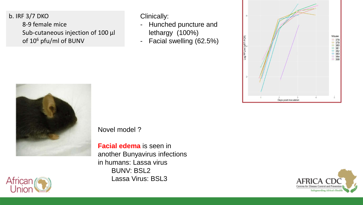b. IRF 3/7 DKO 8-9 female mice Sub-cutaneous injection of 100 µl of 106 pfu/ml of BUNV

Clinically:

- Hunched puncture and lethargy (100%)
- Facial swelling (62.5%)





Novel model ?

**Facial edema** is seen in another Bunyavirus infections in humans: Lassa virus BUNV: BSL2 Lassa Virus: BSL3



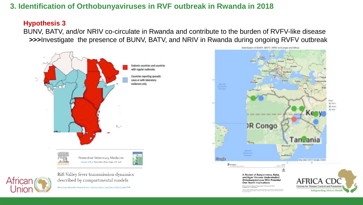## **3. Identification of Orthobunyaviruses in RVF outbreak in Rwanda in 2018**

#### **Hypothesis 3**

BUNV, BATV, and/or NRIV co-circulate in Rwanda and contribute to the burden of RVFV-like disease **>>>**Investigate the presence of BUNV, BATV, and NRIV in Rwanda during ongoing RVFV outbreak



described by compartmental models

Maria Luisa Danzetta, Rossana Bruno, Francesca Sauro, Lara Savini, Paolo Calistri A 28

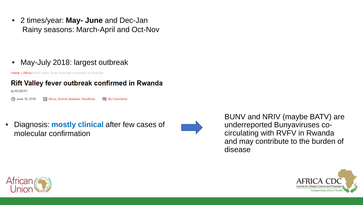• 2 times/year: **May- June** and Dec-Jan Rainy seasons: March-April and Oct-Nov

## • May-July 2018: largest outbreak

Home » Africa » Rift Valley fever outbreak confirmed in Rwanda

## Rift Valley fever outbreak confirmed in Rwanda

by ROBERT

Fill Africa, Animal diseases, Headlines **40 June 16, 2018 国** No Comments

• Diagnosis: **mostly clinical** after few cases of molecular confirmation



BUNV and NRIV (maybe BATV) are underreported Bunyaviruses cocirculating with RVFV in Rwanda and may contribute to the burden of disease



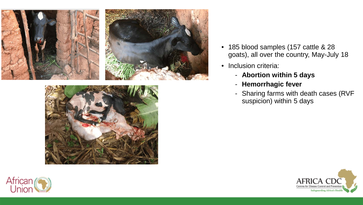



- 185 blood samples (157 cattle & 28 goats), all over the country, May-July 18
- Inclusion criteria:
	- **Abortion within 5 days**
	- **Hemorrhagic fever**
	- Sharing farms with death cases (RVF suspicion) within 5 days



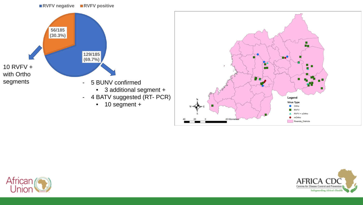#### **RVFV negative RVFV positive**







Rwanda\_Districts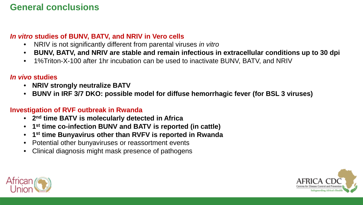# **General conclusions**

## *In vitro* **studies of BUNV, BATV, and NRIV in Vero cells**

- NRIV is not significantly different from parental viruses *in vitro*
- **BUNV, BATV, and NRIV are stable and remain infectious in extracellular conditions up to 30 dpi**
- 1%Triton-X-100 after 1hr incubation can be used to inactivate BUNV, BATV, and NRIV

## *In vivo* **studies**

- **NRIV strongly neutralize BATV**
- **BUNV in IRF 3/7 DKO: possible model for diffuse hemorrhagic fever (for BSL 3 viruses)**

## **Investigation of RVF outbreak in Rwanda**

- **2nd time BATV is molecularly detected in Africa**
- **1st time co-infection BUNV and BATV is reported (in cattle)**
- **1st time Bunyavirus other than RVFV is reported in Rwanda**
- Potential other bunyaviruses or reassortment events
- Clinical diagnosis might mask presence of pathogens



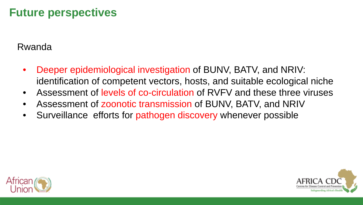# **Future perspectives**

# Rwanda

- Deeper epidemiological investigation of BUNV, BATV, and NRIV: identification of competent vectors, hosts, and suitable ecological niche
- Assessment of levels of co-circulation of RVFV and these three viruses
- Assessment of zoonotic transmission of BUNV, BATV, and NRIV
- Surveillance efforts for pathogen discovery whenever possible